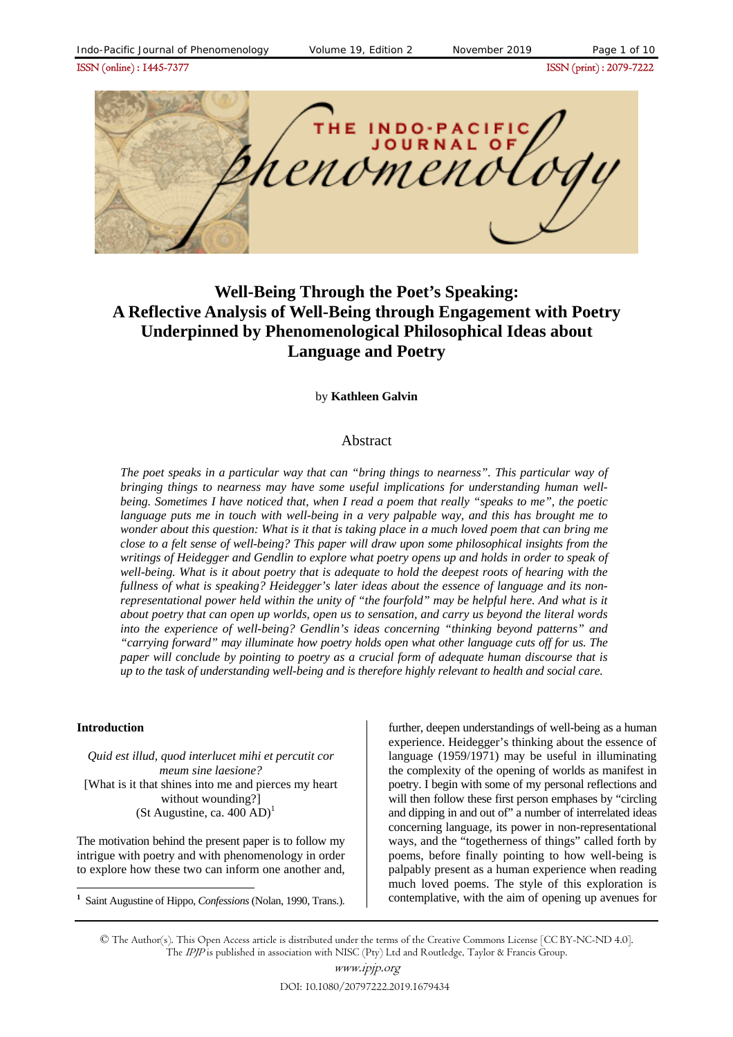ISSN (online) : 1445-7377ISSN (print) : 2079-7222



# **Well-Being Through the Poet's Speaking: A Reflective Analysis of Well-Being through Engagement with Poetry Underpinned by Phenomenological Philosophical Ideas about Language and Poetry**

#### by **Kathleen Galvin**

#### Abstract

*The poet speaks in a particular way that can "bring things to nearness". This particular way of bringing things to nearness may have some useful implications for understanding human wellbeing. Sometimes I have noticed that, when I read a poem that really "speaks to me", the poetic language puts me in touch with well-being in a very palpable way, and this has brought me to wonder about this question: What is it that is taking place in a much loved poem that can bring me close to a felt sense of well-being? This paper will draw upon some philosophical insights from the writings of Heidegger and Gendlin to explore what poetry opens up and holds in order to speak of well-being. What is it about poetry that is adequate to hold the deepest roots of hearing with the fullness of what is speaking? Heidegger's later ideas about the essence of language and its nonrepresentational power held within the unity of "the fourfold" may be helpful here. And what is it about poetry that can open up worlds, open us to sensation, and carry us beyond the literal words into the experience of well-being? Gendlin's ideas concerning "thinking beyond patterns" and "carrying forward" may illuminate how poetry holds open what other language cuts off for us. The paper will conclude by pointing to poetry as a crucial form of adequate human discourse that is up to the task of understanding well-being and is therefore highly relevant to health and social care.* 

#### **Introduction**

 $\overline{a}$ 

*Quid est illud, quod interlucet mihi et percutit cor meum sine laesione?*  [What is it that shines into me and pierces my heart without wounding?] (St Augustine, ca.  $400$  AD)<sup>1</sup>

The motivation behind the present paper is to follow my intrigue with poetry and with phenomenology in order to explore how these two can inform one another and,

**<sup>1</sup>** Saint Augustine of Hippo, *Confessions* (Nolan, 1990, Trans.).

further, deepen understandings of well-being as a human experience. Heidegger's thinking about the essence of language (1959/1971) may be useful in illuminating the complexity of the opening of worlds as manifest in poetry. I begin with some of my personal reflections and will then follow these first person emphases by "circling" and dipping in and out of" a number of interrelated ideas concerning language, its power in non-representational ways, and the "togetherness of things" called forth by poems, before finally pointing to how well-being is palpably present as a human experience when reading much loved poems. The style of this exploration is contemplative, with the aim of opening up avenues for

<sup>©</sup> The Author(s). This Open Access article is distributed under the terms of the Creative Commons License [CC BY-NC-ND 4.0]. The IPJP is published in association with NISC (Pty) Ltd and Routledge, Taylor & Francis Group.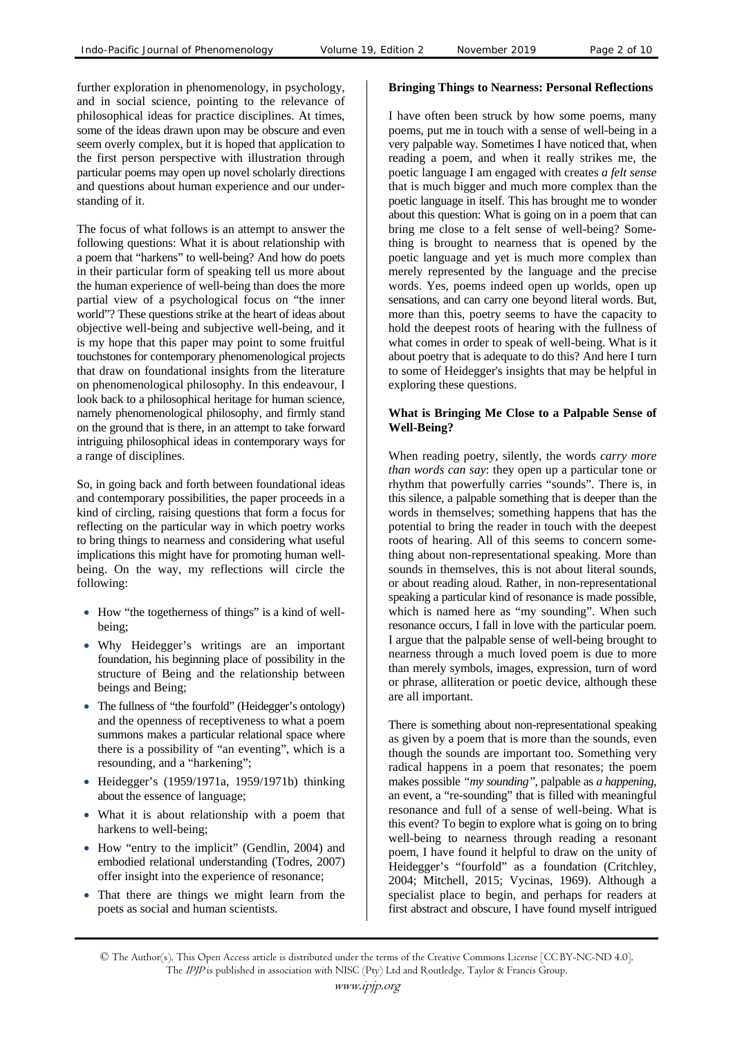further exploration in phenomenology, in psychology, and in social science, pointing to the relevance of philosophical ideas for practice disciplines. At times, some of the ideas drawn upon may be obscure and even seem overly complex, but it is hoped that application to the first person perspective with illustration through particular poems may open up novel scholarly directions and questions about human experience and our understanding of it.

The focus of what follows is an attempt to answer the following questions: What it is about relationship with a poem that "harkens" to well-being? And how do poets in their particular form of speaking tell us more about the human experience of well-being than does the more partial view of a psychological focus on "the inner world"? These questions strike at the heart of ideas about objective well-being and subjective well-being, and it is my hope that this paper may point to some fruitful touchstones for contemporary phenomenological projects that draw on foundational insights from the literature on phenomenological philosophy. In this endeavour, I look back to a philosophical heritage for human science, namely phenomenological philosophy, and firmly stand on the ground that is there, in an attempt to take forward intriguing philosophical ideas in contemporary ways for a range of disciplines.

So, in going back and forth between foundational ideas and contemporary possibilities, the paper proceeds in a kind of circling, raising questions that form a focus for reflecting on the particular way in which poetry works to bring things to nearness and considering what useful implications this might have for promoting human wellbeing. On the way, my reflections will circle the following:

- How "the togetherness of things" is a kind of wellbeing;
- Why Heidegger's writings are an important foundation, his beginning place of possibility in the structure of Being and the relationship between beings and Being;
- The fullness of "the fourfold" (Heidegger's ontology) and the openness of receptiveness to what a poem summons makes a particular relational space where there is a possibility of "an eventing", which is a resounding, and a "harkening";
- Heidegger's (1959/1971a, 1959/1971b) thinking about the essence of language;
- What it is about relationship with a poem that harkens to well-being;
- How "entry to the implicit" (Gendlin, 2004) and embodied relational understanding (Todres, 2007) offer insight into the experience of resonance;
- That there are things we might learn from the poets as social and human scientists.

#### **Bringing Things to Nearness: Personal Reflections**

I have often been struck by how some poems, many poems, put me in touch with a sense of well-being in a very palpable way. Sometimes I have noticed that, when reading a poem, and when it really strikes me, the poetic language I am engaged with creates *a felt sense* that is much bigger and much more complex than the poetic language in itself. This has brought me to wonder about this question: What is going on in a poem that can bring me close to a felt sense of well-being? Something is brought to nearness that is opened by the poetic language and yet is much more complex than merely represented by the language and the precise words. Yes, poems indeed open up worlds, open up sensations, and can carry one beyond literal words. But, more than this, poetry seems to have the capacity to hold the deepest roots of hearing with the fullness of what comes in order to speak of well-being. What is it about poetry that is adequate to do this? And here I turn to some of Heidegger's insights that may be helpful in exploring these questions.

#### **What is Bringing Me Close to a Palpable Sense of Well-Being?**

When reading poetry, silently, the words *carry more than words can say*: they open up a particular tone or rhythm that powerfully carries "sounds". There is, in this silence, a palpable something that is deeper than the words in themselves; something happens that has the potential to bring the reader in touch with the deepest roots of hearing. All of this seems to concern something about non-representational speaking. More than sounds in themselves, this is not about literal sounds, or about reading aloud. Rather, in non-representational speaking a particular kind of resonance is made possible, which is named here as "my sounding". When such resonance occurs, I fall in love with the particular poem. I argue that the palpable sense of well-being brought to nearness through a much loved poem is due to more than merely symbols, images, expression, turn of word or phrase, alliteration or poetic device, although these are all important.

There is something about non-representational speaking as given by a poem that is more than the sounds, even though the sounds are important too. Something very radical happens in a poem that resonates; the poem makes possible *"my sounding"*, palpable as *a happening*, an event, a "re-sounding" that is filled with meaningful resonance and full of a sense of well-being. What is this event? To begin to explore what is going on to bring well-being to nearness through reading a resonant poem, I have found it helpful to draw on the unity of Heidegger's "fourfold" as a foundation (Critchley, 2004; Mitchell, 2015; Vycinas, 1969). Although a specialist place to begin, and perhaps for readers at first abstract and obscure, I have found myself intrigued

<sup>©</sup> The Author(s). This Open Access article is distributed under the terms of the Creative Commons License [CC BY-NC-ND 4.0]. The IPJP is published in association with NISC (Pty) Ltd and Routledge, Taylor & Francis Group.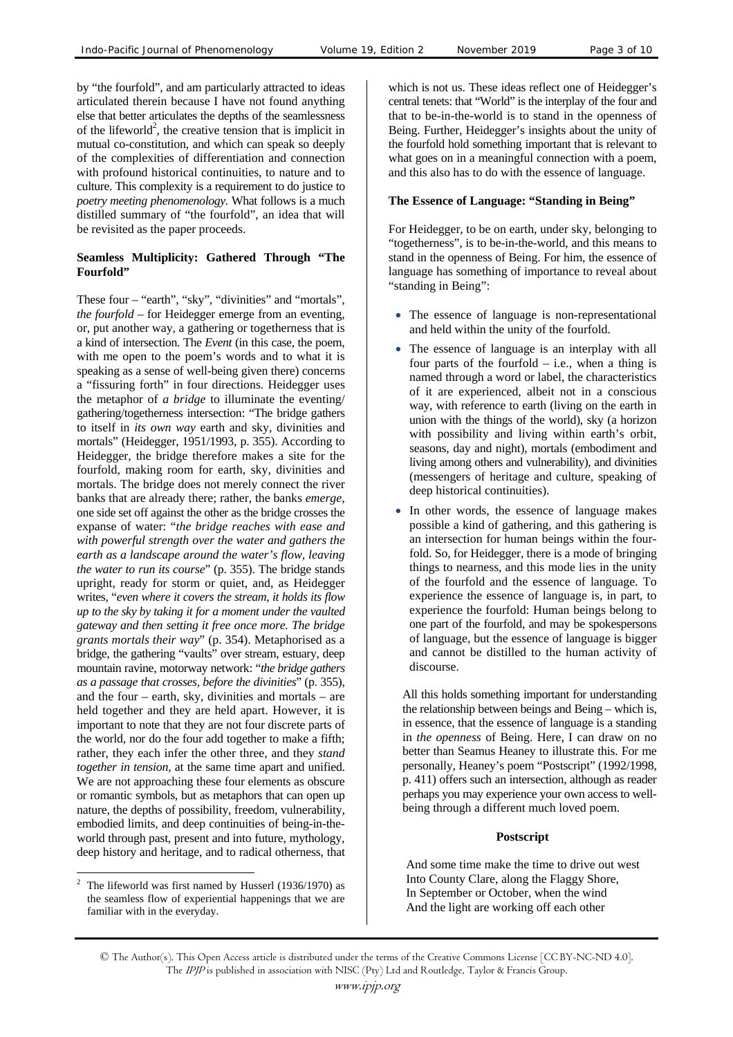by "the fourfold", and am particularly attracted to ideas articulated therein because I have not found anything else that better articulates the depths of the seamlessness of the lifeworld<sup>2</sup>, the creative tension that is implicit in mutual co-constitution, and which can speak so deeply of the complexities of differentiation and connection with profound historical continuities, to nature and to culture. This complexity is a requirement to do justice to *poetry meeting phenomenology.* What follows is a much distilled summary of "the fourfold", an idea that will be revisited as the paper proceeds.

## **Seamless Multiplicity: Gathered Through "The Fourfold"**

These four – "earth", "sky", "divinities" and "mortals", *the fourfold* – for Heidegger emerge from an eventing, or, put another way, a gathering or togetherness that is a kind of intersection. The *Event* (in this case, the poem, with me open to the poem's words and to what it is speaking as a sense of well-being given there) concerns a "fissuring forth" in four directions. Heidegger uses the metaphor of *a bridge* to illuminate the eventing/ gathering/togetherness intersection: "The bridge gathers to itself in *its own way* earth and sky, divinities and mortals" (Heidegger, 1951/1993, p. 355). According to Heidegger, the bridge therefore makes a site for the fourfold, making room for earth, sky, divinities and mortals. The bridge does not merely connect the river banks that are already there; rather, the banks *emerge*, one side set off against the other as the bridge crosses the expanse of water: "*the bridge reaches with ease and with powerful strength over the water and gathers the earth as a landscape around the water's flow, leaving the water to run its course*" (p. 355). The bridge stands upright, ready for storm or quiet, and, as Heidegger writes, "*even where it covers the stream, it holds its flow up to the sky by taking it for a moment under the vaulted gateway and then setting it free once more. The bridge grants mortals their way*" (p. 354). Metaphorised as a bridge, the gathering "vaults" over stream, estuary, deep mountain ravine, motorway network: "*the bridge gathers as a passage that crosses, before the divinities*" (p. 355), and the four – earth, sky, divinities and mortals – are held together and they are held apart. However, it is important to note that they are not four discrete parts of the world, nor do the four add together to make a fifth; rather, they each infer the other three, and they *stand together in tension*, at the same time apart and unified. We are not approaching these four elements as obscure or romantic symbols, but as metaphors that can open up nature, the depths of possibility, freedom, vulnerability, embodied limits, and deep continuities of being-in-theworld through past, present and into future, mythology, deep history and heritage, and to radical otherness, that

which is not us. These ideas reflect one of Heidegger's central tenets: that "World" is the interplay of the four and that to be-in-the-world is to stand in the openness of Being. Further, Heidegger's insights about the unity of the fourfold hold something important that is relevant to what goes on in a meaningful connection with a poem, and this also has to do with the essence of language.

#### **The Essence of Language: "Standing in Being"**

For Heidegger, to be on earth, under sky, belonging to "togetherness", is to be-in-the-world, and this means to stand in the openness of Being. For him, the essence of language has something of importance to reveal about "standing in Being":

- The essence of language is non-representational and held within the unity of the fourfold.
- The essence of language is an interplay with all four parts of the fourfold  $-$  i.e., when a thing is named through a word or label, the characteristics of it are experienced, albeit not in a conscious way, with reference to earth (living on the earth in union with the things of the world), sky (a horizon with possibility and living within earth's orbit, seasons, day and night), mortals (embodiment and living among others and vulnerability), and divinities (messengers of heritage and culture, speaking of deep historical continuities).
- In other words, the essence of language makes possible a kind of gathering, and this gathering is an intersection for human beings within the fourfold. So, for Heidegger, there is a mode of bringing things to nearness, and this mode lies in the unity of the fourfold and the essence of language. To experience the essence of language is, in part, to experience the fourfold: Human beings belong to one part of the fourfold, and may be spokespersons of language, but the essence of language is bigger and cannot be distilled to the human activity of discourse.

All this holds something important for understanding the relationship between beings and Being – which is, in essence, that the essence of language is a standing in *the openness* of Being. Here, I can draw on no better than Seamus Heaney to illustrate this. For me personally, Heaney's poem "Postscript" (1992/1998, p. 411) offers such an intersection, although as reader perhaps you may experience your own access to wellbeing through a different much loved poem.

#### **Postscript**

And some time make the time to drive out west Into County Clare, along the Flaggy Shore, In September or October, when the wind And the light are working off each other

 $\overline{a}$ 2 The lifeworld was first named by Husserl (1936/1970) as the seamless flow of experiential happenings that we are familiar with in the everyday.

<sup>©</sup> The Author(s). This Open Access article is distributed under the terms of the Creative Commons License [CC BY-NC-ND 4.0]. The IPJP is published in association with NISC (Pty) Ltd and Routledge, Taylor & Francis Group.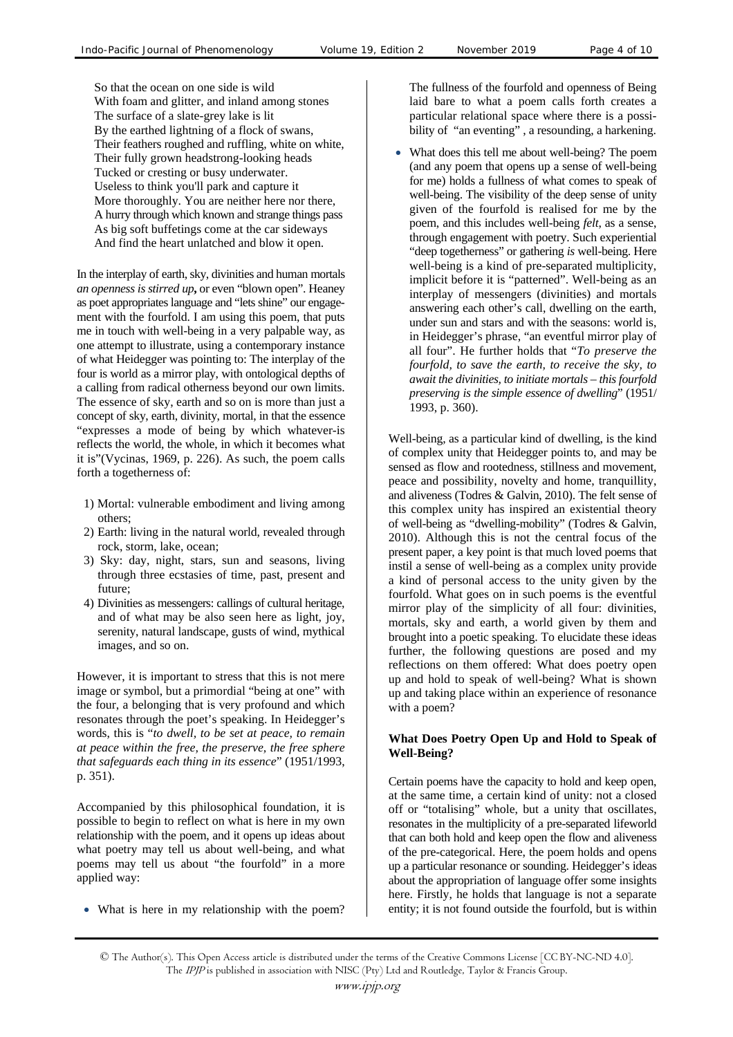So that the ocean on one side is wild With foam and glitter, and inland among stones The surface of a slate-grey lake is lit By the earthed lightning of a flock of swans, Their feathers roughed and ruffling, white on white, Their fully grown headstrong-looking heads Tucked or cresting or busy underwater. Useless to think you'll park and capture it More thoroughly. You are neither here nor there, A hurry through which known and strange things pass As big soft buffetings come at the car sideways And find the heart unlatched and blow it open.

In the interplay of earth, sky, divinities and human mortals *an openness is stirred up***,** or even "blown open". Heaney as poet appropriates language and "lets shine" our engagement with the fourfold. I am using this poem, that puts me in touch with well-being in a very palpable way, as one attempt to illustrate, using a contemporary instance of what Heidegger was pointing to: The interplay of the four is world as a mirror play, with ontological depths of a calling from radical otherness beyond our own limits. The essence of sky, earth and so on is more than just a concept of sky, earth, divinity, mortal, in that the essence "expresses a mode of being by which whatever-is reflects the world, the whole, in which it becomes what it is"(Vycinas, 1969, p. 226). As such, the poem calls forth a togetherness of:

- 1) Mortal: vulnerable embodiment and living among others;
- 2) Earth: living in the natural world, revealed through rock, storm, lake, ocean;
- 3) Sky: day, night, stars, sun and seasons, living through three ecstasies of time, past, present and future;
- 4) Divinities as messengers: callings of cultural heritage, and of what may be also seen here as light, joy, serenity, natural landscape, gusts of wind, mythical images, and so on.

However, it is important to stress that this is not mere image or symbol, but a primordial "being at one" with the four, a belonging that is very profound and which resonates through the poet's speaking. In Heidegger's words, this is "*to dwell, to be set at peace, to remain at peace within the free, the preserve, the free sphere that safeguards each thing in its essence*" (1951/1993, p. 351).

Accompanied by this philosophical foundation, it is possible to begin to reflect on what is here in my own relationship with the poem, and it opens up ideas about what poetry may tell us about well-being, and what poems may tell us about "the fourfold" in a more applied way:

• What is here in my relationship with the poem?

The fullness of the fourfold and openness of Being laid bare to what a poem calls forth creates a particular relational space where there is a possibility of "an eventing" , a resounding, a harkening.

• What does this tell me about well-being? The poem (and any poem that opens up a sense of well-being for me) holds a fullness of what comes to speak of well-being. The visibility of the deep sense of unity given of the fourfold is realised for me by the poem, and this includes well-being *felt*, as a sense, through engagement with poetry. Such experiential "deep togetherness" or gathering *is* well-being. Here well-being is a kind of pre-separated multiplicity, implicit before it is "patterned". Well-being as an interplay of messengers (divinities) and mortals answering each other's call, dwelling on the earth, under sun and stars and with the seasons: world is, in Heidegger's phrase, "an eventful mirror play of all four". He further holds that "*To preserve the fourfold, to save the earth, to receive the sky, to await the divinities, to initiate mortals – this fourfold preserving is the simple essence of dwelling*" (1951/ 1993, p. 360).

Well-being, as a particular kind of dwelling, is the kind of complex unity that Heidegger points to, and may be sensed as flow and rootedness, stillness and movement, peace and possibility, novelty and home, tranquillity, and aliveness (Todres & Galvin, 2010). The felt sense of this complex unity has inspired an existential theory of well-being as "dwelling-mobility" (Todres & Galvin, 2010). Although this is not the central focus of the present paper, a key point is that much loved poems that instil a sense of well-being as a complex unity provide a kind of personal access to the unity given by the fourfold. What goes on in such poems is the eventful mirror play of the simplicity of all four: divinities, mortals, sky and earth, a world given by them and brought into a poetic speaking. To elucidate these ideas further, the following questions are posed and my reflections on them offered: What does poetry open up and hold to speak of well-being? What is shown up and taking place within an experience of resonance with a poem?

#### **What Does Poetry Open Up and Hold to Speak of Well-Being?**

Certain poems have the capacity to hold and keep open, at the same time, a certain kind of unity: not a closed off or "totalising" whole, but a unity that oscillates, resonates in the multiplicity of a pre-separated lifeworld that can both hold and keep open the flow and aliveness of the pre-categorical. Here, the poem holds and opens up a particular resonance or sounding. Heidegger's ideas about the appropriation of language offer some insights here. Firstly, he holds that language is not a separate entity; it is not found outside the fourfold, but is within

<sup>©</sup> The Author(s). This Open Access article is distributed under the terms of the Creative Commons License [CC BY-NC-ND 4.0]. The IPJP is published in association with NISC (Pty) Ltd and Routledge, Taylor & Francis Group.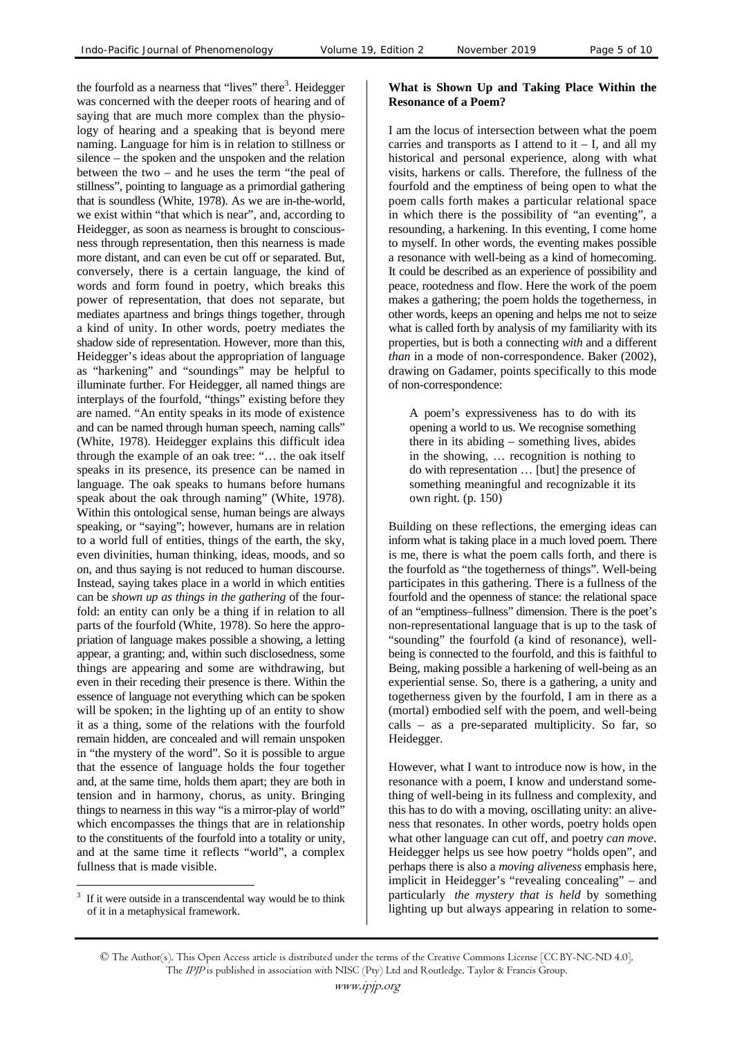the fourfold as a nearness that "lives" there<sup>3</sup>. Heidegger was concerned with the deeper roots of hearing and of saying that are much more complex than the physiology of hearing and a speaking that is beyond mere naming. Language for him is in relation to stillness or silence – the spoken and the unspoken and the relation between the two – and he uses the term "the peal of stillness", pointing to language as a primordial gathering that is soundless (White, 1978). As we are in-the-world, we exist within "that which is near", and, according to Heidegger, as soon as nearness is brought to consciousness through representation, then this nearness is made more distant, and can even be cut off or separated. But, conversely, there is a certain language, the kind of words and form found in poetry, which breaks this power of representation, that does not separate, but mediates apartness and brings things together, through a kind of unity. In other words, poetry mediates the shadow side of representation. However, more than this, Heidegger's ideas about the appropriation of language as "harkening" and "soundings" may be helpful to illuminate further. For Heidegger, all named things are interplays of the fourfold, "things" existing before they are named. "An entity speaks in its mode of existence and can be named through human speech, naming calls" (White, 1978). Heidegger explains this difficult idea through the example of an oak tree: "… the oak itself speaks in its presence, its presence can be named in language. The oak speaks to humans before humans speak about the oak through naming" (White, 1978). Within this ontological sense, human beings are always speaking, or "saying"; however, humans are in relation to a world full of entities, things of the earth, the sky, even divinities, human thinking, ideas, moods, and so on, and thus saying is not reduced to human discourse. Instead, saying takes place in a world in which entities can be *shown up as things in the gathering* of the fourfold: an entity can only be a thing if in relation to all parts of the fourfold (White, 1978). So here the appropriation of language makes possible a showing, a letting appear, a granting; and, within such disclosedness, some things are appearing and some are withdrawing, but even in their receding their presence is there. Within the essence of language not everything which can be spoken will be spoken; in the lighting up of an entity to show it as a thing, some of the relations with the fourfold remain hidden, are concealed and will remain unspoken in "the mystery of the word". So it is possible to argue that the essence of language holds the four together and, at the same time, holds them apart; they are both in tension and in harmony, chorus, as unity. Bringing things to nearness in this way "is a mirror-play of world" which encompasses the things that are in relationship to the constituents of the fourfold into a totality or unity, and at the same time it reflects "world", a complex fullness that is made visible.

#### 3 If it were outside in a transcendental way would be to think of it in a metaphysical framework.

 $\overline{a}$ 

#### **What is Shown Up and Taking Place Within the Resonance of a Poem?**

I am the locus of intersection between what the poem carries and transports as I attend to  $it - I$ , and all my historical and personal experience, along with what visits, harkens or calls. Therefore, the fullness of the fourfold and the emptiness of being open to what the poem calls forth makes a particular relational space in which there is the possibility of "an eventing", a resounding, a harkening. In this eventing, I come home to myself. In other words, the eventing makes possible a resonance with well-being as a kind of homecoming. It could be described as an experience of possibility and peace, rootedness and flow. Here the work of the poem makes a gathering; the poem holds the togetherness, in other words, keeps an opening and helps me not to seize what is called forth by analysis of my familiarity with its properties, but is both a connecting *with* and a different *than* in a mode of non-correspondence. Baker (2002), drawing on Gadamer, points specifically to this mode of non-correspondence:

A poem's expressiveness has to do with its opening a world to us. We recognise something there in its abiding – something lives, abides in the showing, … recognition is nothing to do with representation … [but] the presence of something meaningful and recognizable it its own right. (p. 150)

Building on these reflections, the emerging ideas can inform what is taking place in a much loved poem. There is me, there is what the poem calls forth, and there is the fourfold as "the togetherness of things". Well-being participates in this gathering. There is a fullness of the fourfold and the openness of stance: the relational space of an "emptiness–fullness" dimension. There is the poet's non-representational language that is up to the task of "sounding" the fourfold (a kind of resonance), wellbeing is connected to the fourfold, and this is faithful to Being, making possible a harkening of well-being as an experiential sense. So, there is a gathering, a unity and togetherness given by the fourfold, I am in there as a (mortal) embodied self with the poem, and well-being calls – as a pre-separated multiplicity. So far, so Heidegger.

However, what I want to introduce now is how, in the resonance with a poem, I know and understand something of well-being in its fullness and complexity, and this has to do with a moving, oscillating unity: an aliveness that resonates. In other words, poetry holds open what other language can cut off, and poetry *can move*. Heidegger helps us see how poetry "holds open", and perhaps there is also a *moving aliveness* emphasis here, implicit in Heidegger's "revealing concealing" – and particularly *the mystery that is held* by something lighting up but always appearing in relation to some-

<sup>©</sup> The Author(s). This Open Access article is distributed under the terms of the Creative Commons License [CC BY-NC-ND 4.0]. The IPJP is published in association with NISC (Pty) Ltd and Routledge, Taylor & Francis Group.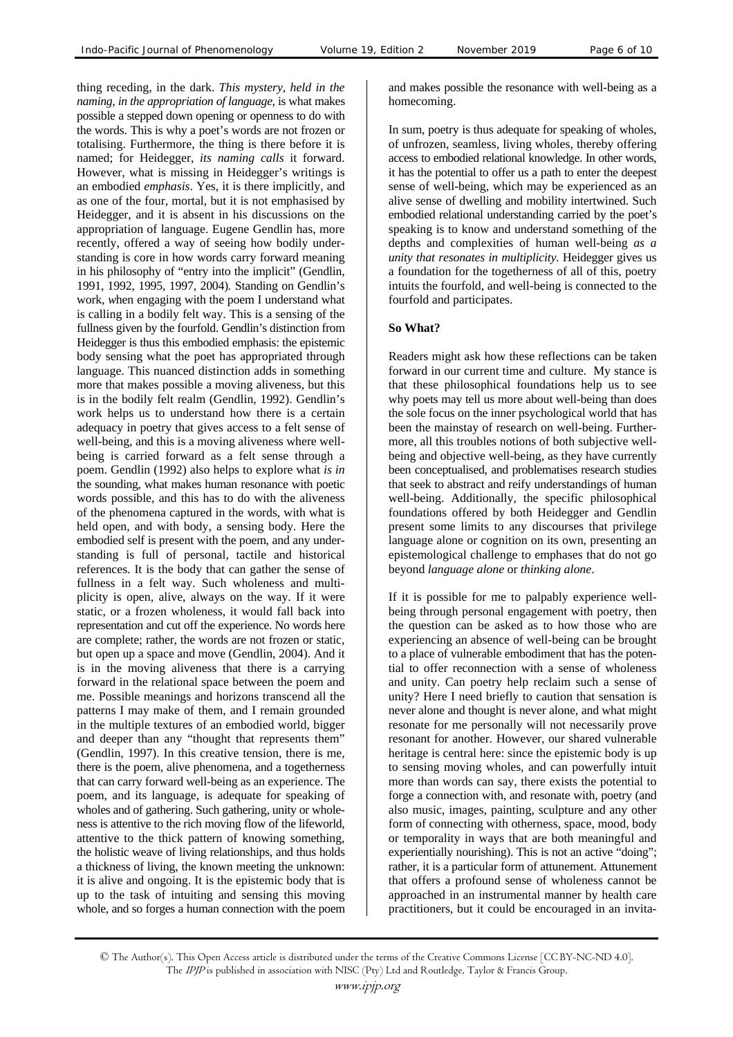thing receding, in the dark. *This mystery, held in the naming*, *in the appropriation of language*, is what makes possible a stepped down opening or openness to do with the words. This is why a poet's words are not frozen or totalising. Furthermore, the thing is there before it is named; for Heidegger, *its naming calls* it forward. However, what is missing in Heidegger's writings is an embodied *emphasis*. Yes, it is there implicitly, and as one of the four, mortal, but it is not emphasised by Heidegger, and it is absent in his discussions on the appropriation of language. Eugene Gendlin has, more recently, offered a way of seeing how bodily understanding is core in how words carry forward meaning in his philosophy of "entry into the implicit" (Gendlin, 1991, 1992, 1995, 1997, 2004)*.* Standing on Gendlin's work*, w*hen engaging with the poem I understand what is calling in a bodily felt way. This is a sensing of the fullness given by the fourfold. Gendlin's distinction from Heidegger is thus this embodied emphasis: the epistemic body sensing what the poet has appropriated through language. This nuanced distinction adds in something more that makes possible a moving aliveness, but this is in the bodily felt realm (Gendlin, 1992). Gendlin's work helps us to understand how there is a certain adequacy in poetry that gives access to a felt sense of well-being, and this is a moving aliveness where wellbeing is carried forward as a felt sense through a poem. Gendlin (1992) also helps to explore what *is in* the sounding, what makes human resonance with poetic words possible, and this has to do with the aliveness of the phenomena captured in the words, with what is held open, and with body, a sensing body. Here the embodied self is present with the poem, and any understanding is full of personal, tactile and historical references. It is the body that can gather the sense of fullness in a felt way. Such wholeness and multiplicity is open, alive, always on the way. If it were static, or a frozen wholeness, it would fall back into representation and cut off the experience. No words here are complete; rather, the words are not frozen or static, but open up a space and move (Gendlin, 2004). And it is in the moving aliveness that there is a carrying forward in the relational space between the poem and me. Possible meanings and horizons transcend all the patterns I may make of them, and I remain grounded in the multiple textures of an embodied world, bigger and deeper than any "thought that represents them" (Gendlin, 1997). In this creative tension, there is me, there is the poem, alive phenomena, and a togetherness that can carry forward well-being as an experience. The poem, and its language, is adequate for speaking of wholes and of gathering. Such gathering, unity or wholeness is attentive to the rich moving flow of the lifeworld, attentive to the thick pattern of knowing something, the holistic weave of living relationships, and thus holds a thickness of living, the known meeting the unknown: it is alive and ongoing. It is the epistemic body that is up to the task of intuiting and sensing this moving whole, and so forges a human connection with the poem

and makes possible the resonance with well-being as a homecoming.

In sum, poetry is thus adequate for speaking of wholes, of unfrozen, seamless, living wholes, thereby offering access to embodied relational knowledge. In other words, it has the potential to offer us a path to enter the deepest sense of well-being, which may be experienced as an alive sense of dwelling and mobility intertwined. Such embodied relational understanding carried by the poet's speaking is to know and understand something of the depths and complexities of human well-being *as a unity that resonates in multiplicity*. Heidegger gives us a foundation for the togetherness of all of this, poetry intuits the fourfold, and well-being is connected to the fourfold and participates.

#### **So What?**

Readers might ask how these reflections can be taken forward in our current time and culture. My stance is that these philosophical foundations help us to see why poets may tell us more about well-being than does the sole focus on the inner psychological world that has been the mainstay of research on well-being. Furthermore, all this troubles notions of both subjective wellbeing and objective well-being, as they have currently been conceptualised, and problematises research studies that seek to abstract and reify understandings of human well-being. Additionally, the specific philosophical foundations offered by both Heidegger and Gendlin present some limits to any discourses that privilege language alone or cognition on its own, presenting an epistemological challenge to emphases that do not go beyond *language alone* or *thinking alone*.

If it is possible for me to palpably experience wellbeing through personal engagement with poetry, then the question can be asked as to how those who are experiencing an absence of well-being can be brought to a place of vulnerable embodiment that has the potential to offer reconnection with a sense of wholeness and unity. Can poetry help reclaim such a sense of unity? Here I need briefly to caution that sensation is never alone and thought is never alone, and what might resonate for me personally will not necessarily prove resonant for another. However, our shared vulnerable heritage is central here: since the epistemic body is up to sensing moving wholes, and can powerfully intuit more than words can say, there exists the potential to forge a connection with, and resonate with, poetry (and also music, images, painting, sculpture and any other form of connecting with otherness, space, mood, body or temporality in ways that are both meaningful and experientially nourishing). This is not an active "doing"; rather, it is a particular form of attunement. Attunement that offers a profound sense of wholeness cannot be approached in an instrumental manner by health care practitioners, but it could be encouraged in an invita-

<sup>©</sup> The Author(s). This Open Access article is distributed under the terms of the Creative Commons License [CC BY-NC-ND 4.0]. The IPJP is published in association with NISC (Pty) Ltd and Routledge, Taylor & Francis Group.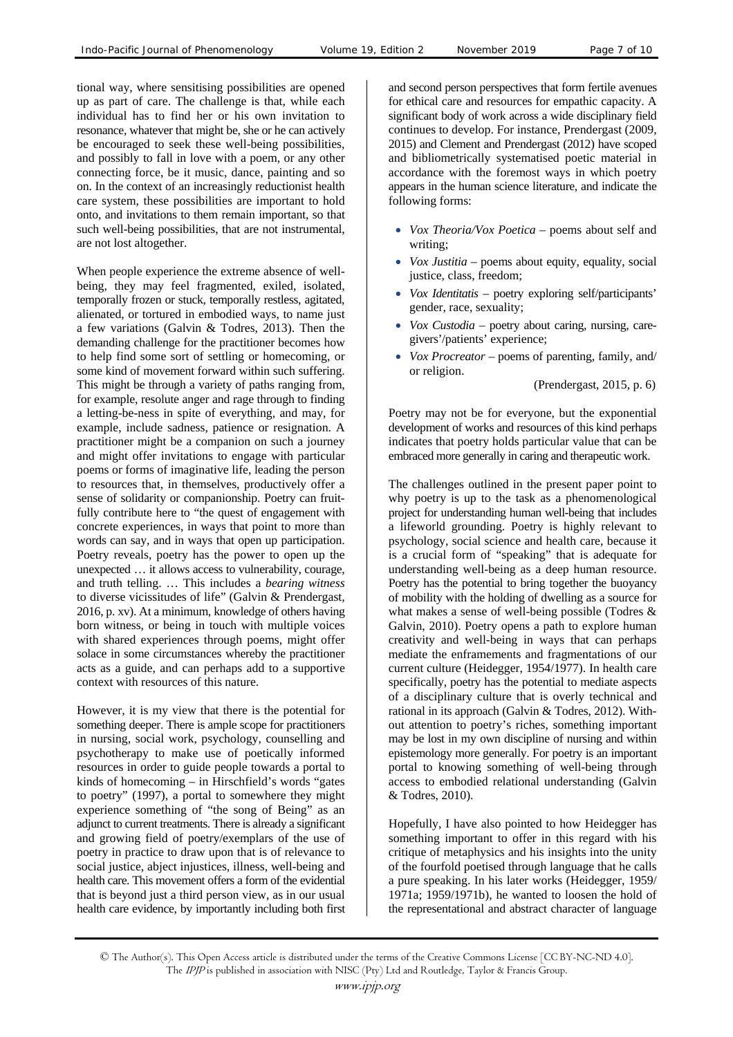tional way, where sensitising possibilities are opened up as part of care. The challenge is that, while each individual has to find her or his own invitation to resonance, whatever that might be, she or he can actively be encouraged to seek these well-being possibilities, and possibly to fall in love with a poem, or any other connecting force, be it music, dance, painting and so on. In the context of an increasingly reductionist health care system, these possibilities are important to hold onto, and invitations to them remain important, so that such well-being possibilities, that are not instrumental, are not lost altogether.

When people experience the extreme absence of wellbeing, they may feel fragmented, exiled, isolated, temporally frozen or stuck, temporally restless, agitated, alienated, or tortured in embodied ways, to name just a few variations (Galvin & Todres, 2013). Then the demanding challenge for the practitioner becomes how to help find some sort of settling or homecoming, or some kind of movement forward within such suffering. This might be through a variety of paths ranging from, for example, resolute anger and rage through to finding a letting-be-ness in spite of everything, and may, for example, include sadness, patience or resignation. A practitioner might be a companion on such a journey and might offer invitations to engage with particular poems or forms of imaginative life, leading the person to resources that, in themselves, productively offer a sense of solidarity or companionship. Poetry can fruitfully contribute here to "the quest of engagement with concrete experiences, in ways that point to more than words can say, and in ways that open up participation. Poetry reveals, poetry has the power to open up the unexpected … it allows access to vulnerability, courage, and truth telling. … This includes a *bearing witness* to diverse vicissitudes of life" (Galvin & Prendergast, 2016, p. xv). At a minimum, knowledge of others having born witness, or being in touch with multiple voices with shared experiences through poems, might offer solace in some circumstances whereby the practitioner acts as a guide, and can perhaps add to a supportive context with resources of this nature.

However, it is my view that there is the potential for something deeper. There is ample scope for practitioners in nursing, social work, psychology, counselling and psychotherapy to make use of poetically informed resources in order to guide people towards a portal to kinds of homecoming – in Hirschfield's words "gates to poetry" (1997), a portal to somewhere they might experience something of "the song of Being" as an adjunct to current treatments. There is already a significant and growing field of poetry/exemplars of the use of poetry in practice to draw upon that is of relevance to social justice, abject injustices, illness, well-being and health care. This movement offers a form of the evidential that is beyond just a third person view, as in our usual health care evidence, by importantly including both first

and second person perspectives that form fertile avenues for ethical care and resources for empathic capacity. A significant body of work across a wide disciplinary field continues to develop. For instance, Prendergast (2009, 2015) and Clement and Prendergast (2012) have scoped and bibliometrically systematised poetic material in accordance with the foremost ways in which poetry appears in the human science literature, and indicate the following forms:

- *Vox Theoria/Vox Poetica* poems about self and writing;
- *Vox Justitia –* poems about equity, equality, social justice, class, freedom;
- *Vox Identitatis*  poetry exploring self/participants' gender, race, sexuality;
- *Vox Custodia* poetry about caring, nursing, caregivers'/patients' experience;
- *Vox Procreator* poems of parenting, family, and/ or religion.

(Prendergast, 2015, p. 6)

Poetry may not be for everyone, but the exponential development of works and resources of this kind perhaps indicates that poetry holds particular value that can be embraced more generally in caring and therapeutic work.

The challenges outlined in the present paper point to why poetry is up to the task as a phenomenological project for understanding human well-being that includes a lifeworld grounding. Poetry is highly relevant to psychology, social science and health care, because it is a crucial form of "speaking" that is adequate for understanding well-being as a deep human resource. Poetry has the potential to bring together the buoyancy of mobility with the holding of dwelling as a source for what makes a sense of well-being possible (Todres & Galvin, 2010). Poetry opens a path to explore human creativity and well-being in ways that can perhaps mediate the enframements and fragmentations of our current culture (Heidegger, 1954/1977). In health care specifically, poetry has the potential to mediate aspects of a disciplinary culture that is overly technical and rational in its approach (Galvin & Todres, 2012). Without attention to poetry's riches, something important may be lost in my own discipline of nursing and within epistemology more generally. For poetry is an important portal to knowing something of well-being through access to embodied relational understanding (Galvin & Todres, 2010).

Hopefully, I have also pointed to how Heidegger has something important to offer in this regard with his critique of metaphysics and his insights into the unity of the fourfold poetised through language that he calls a pure speaking. In his later works (Heidegger, 1959/ 1971a; 1959/1971b), he wanted to loosen the hold of the representational and abstract character of language

<sup>©</sup> The Author(s). This Open Access article is distributed under the terms of the Creative Commons License [CC BY-NC-ND 4.0]. The IPJP is published in association with NISC (Pty) Ltd and Routledge, Taylor & Francis Group.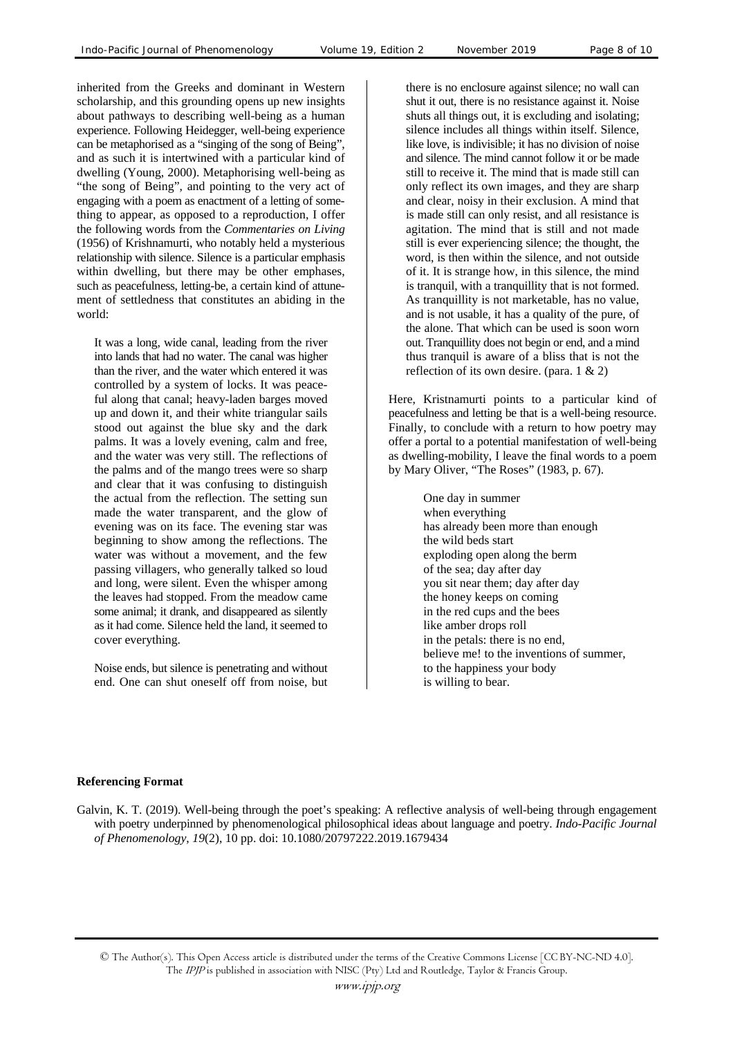inherited from the Greeks and dominant in Western scholarship, and this grounding opens up new insights about pathways to describing well-being as a human experience. Following Heidegger, well-being experience can be metaphorised as a "singing of the song of Being", and as such it is intertwined with a particular kind of dwelling (Young, 2000). Metaphorising well-being as "the song of Being", and pointing to the very act of engaging with a poem as enactment of a letting of something to appear, as opposed to a reproduction, I offer the following words from the *Commentaries on Living* (1956) of Krishnamurti, who notably held a mysterious relationship with silence. Silence is a particular emphasis within dwelling, but there may be other emphases, such as peacefulness, letting-be, a certain kind of attunement of settledness that constitutes an abiding in the world:

It was a long, wide canal, leading from the river into lands that had no water. The canal was higher than the river, and the water which entered it was controlled by a system of locks. It was peaceful along that canal; heavy-laden barges moved up and down it, and their white triangular sails stood out against the blue sky and the dark palms. It was a lovely evening, calm and free, and the water was very still. The reflections of the palms and of the mango trees were so sharp and clear that it was confusing to distinguish the actual from the reflection. The setting sun made the water transparent, and the glow of evening was on its face. The evening star was beginning to show among the reflections. The water was without a movement, and the few passing villagers, who generally talked so loud and long, were silent. Even the whisper among the leaves had stopped. From the meadow came some animal; it drank, and disappeared as silently as it had come. Silence held the land, it seemed to cover everything.

Noise ends, but silence is penetrating and without end. One can shut oneself off from noise, but there is no enclosure against silence; no wall can shut it out, there is no resistance against it. Noise shuts all things out, it is excluding and isolating; silence includes all things within itself. Silence, like love, is indivisible; it has no division of noise and silence. The mind cannot follow it or be made still to receive it. The mind that is made still can only reflect its own images, and they are sharp and clear, noisy in their exclusion. A mind that is made still can only resist, and all resistance is agitation. The mind that is still and not made still is ever experiencing silence; the thought, the word, is then within the silence, and not outside of it. It is strange how, in this silence, the mind is tranquil, with a tranquillity that is not formed. As tranquillity is not marketable, has no value, and is not usable, it has a quality of the pure, of the alone. That which can be used is soon worn out. Tranquillity does not begin or end, and a mind thus tranquil is aware of a bliss that is not the reflection of its own desire. (para. 1 & 2)

Here, Kristnamurti points to a particular kind of peacefulness and letting be that is a well-being resource. Finally, to conclude with a return to how poetry may offer a portal to a potential manifestation of well-being as dwelling-mobility, I leave the final words to a poem by Mary Oliver, "The Roses" (1983, p. 67).

> One day in summer when everything has already been more than enough the wild beds start exploding open along the berm of the sea; day after day you sit near them; day after day the honey keeps on coming in the red cups and the bees like amber drops roll in the petals: there is no end, believe me! to the inventions of summer, to the happiness your body is willing to bear.

#### **Referencing Format**

Galvin, K. T. (2019). Well-being through the poet's speaking: A reflective analysis of well-being through engagement with poetry underpinned by phenomenological philosophical ideas about language and poetry. *Indo-Pacific Journal of Phenomenology*, *19*(2), 10 pp. doi: 10.1080/20797222.2019.1679434

<sup>©</sup> The Author(s). This Open Access article is distributed under the terms of the Creative Commons License [CC BY-NC-ND 4.0]. The IPJP is published in association with NISC (Pty) Ltd and Routledge, Taylor & Francis Group.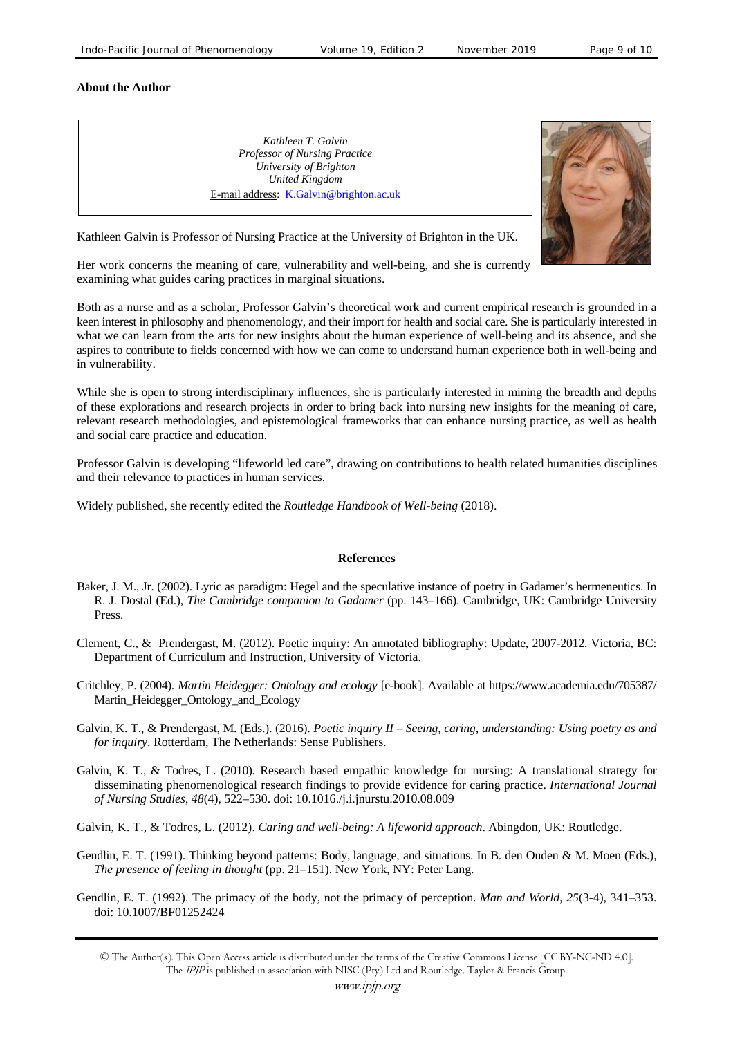#### **About the Author**

*Kathleen T. Galvin Professor of Nursing Practice University of Brighton United Kingdom*  E-mail address: K.Galvin@brighton.ac.uk



Kathleen Galvin is Professor of Nursing Practice at the University of Brighton in the UK.

Her work concerns the meaning of care, vulnerability and well-being, and she is currently examining what guides caring practices in marginal situations.

Both as a nurse and as a scholar, Professor Galvin's theoretical work and current empirical research is grounded in a keen interest in philosophy and phenomenology, and their import for health and social care. She is particularly interested in what we can learn from the arts for new insights about the human experience of well-being and its absence, and she aspires to contribute to fields concerned with how we can come to understand human experience both in well-being and in vulnerability.

While she is open to strong interdisciplinary influences, she is particularly interested in mining the breadth and depths of these explorations and research projects in order to bring back into nursing new insights for the meaning of care, relevant research methodologies, and epistemological frameworks that can enhance nursing practice, as well as health and social care practice and education.

Professor Galvin is developing "lifeworld led care", drawing on contributions to health related humanities disciplines and their relevance to practices in human services.

Widely published, she recently edited the *Routledge Handbook of Well-being* (2018).

## **References**

- Baker, J. M., Jr. (2002). Lyric as paradigm: Hegel and the speculative instance of poetry in Gadamer's hermeneutics. In R. J. Dostal (Ed.), *The Cambridge companion to Gadamer* (pp. 143–166). Cambridge, UK: Cambridge University Press.
- Clement, C., & Prendergast, M. (2012). Poetic inquiry: An annotated bibliography: Update, 2007-2012. Victoria, BC: Department of Curriculum and Instruction, University of Victoria.
- Critchley, P. (2004). *Martin Heidegger: Ontology and ecology* [e-book]. Available at https://www.academia.edu/705387/ Martin Heidegger Ontology and Ecology
- Galvin, K. T., & Prendergast, M. (Eds.). (2016). *Poetic inquiry II Seeing, caring, understanding: Using poetry as and for inquiry*. Rotterdam, The Netherlands: Sense Publishers.
- Galvin, K. T., & Todres, L. (2010). Research based empathic knowledge for nursing: A translational strategy for disseminating phenomenological research findings to provide evidence for caring practice. *International Journal of Nursing Studies*, *48*(4), 522–530. doi: 10.1016./j.i.jnurstu.2010.08.009
- Galvin, K. T., & Todres, L. (2012). *Caring and well-being: A lifeworld approach*. Abingdon, UK: Routledge.
- Gendlin, E. T. (1991). Thinking beyond patterns: Body, language, and situations. In B. den Ouden & M. Moen (Eds.), *The presence of feeling in thought* (pp. 21–151). New York, NY: Peter Lang.
- Gendlin, E. T. (1992). The primacy of the body, not the primacy of perception. *Man and World*, *25*(3-4), 341–353. doi: 10.1007/BF01252424

<sup>©</sup> The Author(s). This Open Access article is distributed under the terms of the Creative Commons License [CC BY-NC-ND 4.0]. The IPJP is published in association with NISC (Pty) Ltd and Routledge, Taylor & Francis Group.